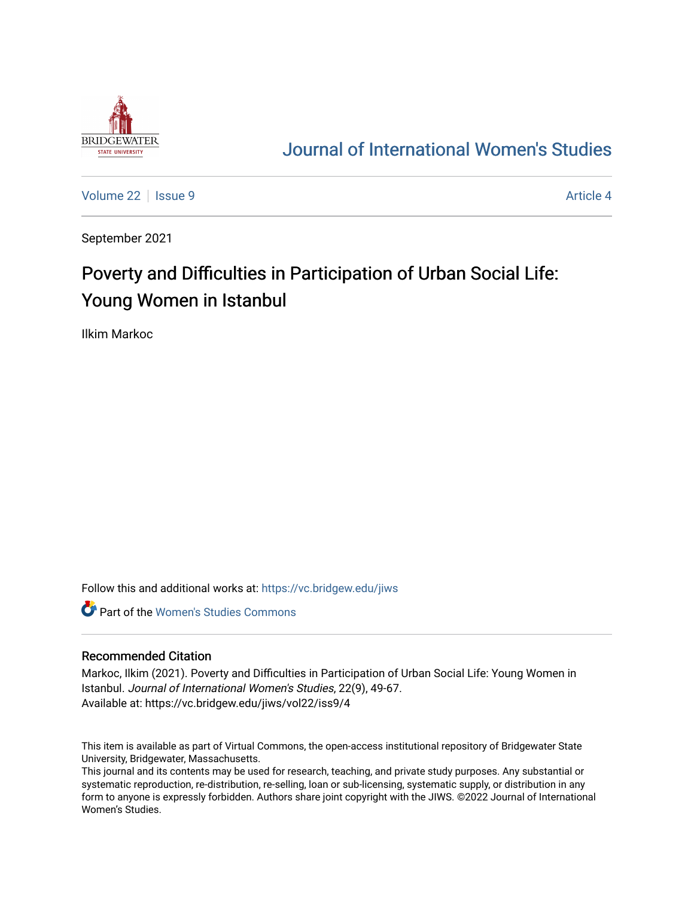

## [Journal of International Women's Studies](https://vc.bridgew.edu/jiws)

[Volume 22](https://vc.bridgew.edu/jiws/vol22) | [Issue 9](https://vc.bridgew.edu/jiws/vol22/iss9) Article 4

September 2021

# Poverty and Difficulties in Participation of Urban Social Life: Young Women in Istanbul

Ilkim Markoc

Follow this and additional works at: [https://vc.bridgew.edu/jiws](https://vc.bridgew.edu/jiws?utm_source=vc.bridgew.edu%2Fjiws%2Fvol22%2Fiss9%2F4&utm_medium=PDF&utm_campaign=PDFCoverPages)

**C** Part of the Women's Studies Commons

#### Recommended Citation

Markoc, Ilkim (2021). Poverty and Difficulties in Participation of Urban Social Life: Young Women in Istanbul. Journal of International Women's Studies, 22(9), 49-67. Available at: https://vc.bridgew.edu/jiws/vol22/iss9/4

This item is available as part of Virtual Commons, the open-access institutional repository of Bridgewater State University, Bridgewater, Massachusetts.

This journal and its contents may be used for research, teaching, and private study purposes. Any substantial or systematic reproduction, re-distribution, re-selling, loan or sub-licensing, systematic supply, or distribution in any form to anyone is expressly forbidden. Authors share joint copyright with the JIWS. ©2022 Journal of International Women's Studies.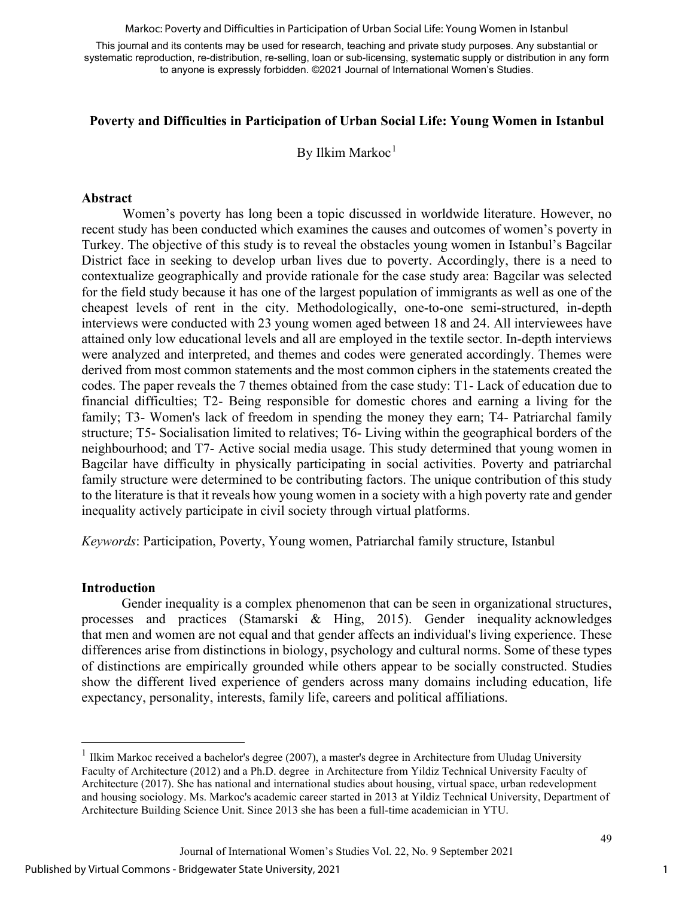Markoc: Poverty and Difficulties in Participation of Urban Social Life: Young Women in Istanbul

This journal and its contents may be used for research, teaching and private study purposes. Any substantial or systematic reproduction, re-distribution, re-selling, loan or sub-licensing, systematic supply or distribution in any form to anyone is expressly forbidden. ©2021 Journal of International Women's Studies.

#### **Poverty and Difficulties in Participation of Urban Social Life: Young Women in Istanbul**

By Ilkim Markoc<sup>[1](#page-1-0)</sup>

#### **Abstract**

Women's poverty has long been a topic discussed in worldwide literature. However, no recent study has been conducted which examines the causes and outcomes of women's poverty in Turkey. The objective of this study is to reveal the obstacles young women in Istanbul's Bagcilar District face in seeking to develop urban lives due to poverty. Accordingly, there is a need to contextualize geographically and provide rationale for the case study area: Bagcilar was selected for the field study because it has one of the largest population of immigrants as well as one of the cheapest levels of rent in the city. Methodologically, one-to-one semi-structured, in-depth interviews were conducted with 23 young women aged between 18 and 24. All interviewees have attained only low educational levels and all are employed in the textile sector. In-depth interviews were analyzed and interpreted, and themes and codes were generated accordingly. Themes were derived from most common statements and the most common ciphers in the statements created the codes. The paper reveals the 7 themes obtained from the case study: T1- Lack of education due to financial difficulties; T2- Being responsible for domestic chores and earning a living for the family; T3- Women's lack of freedom in spending the money they earn; T4- Patriarchal family structure; T5- Socialisation limited to relatives; T6- Living within the geographical borders of the neighbourhood; and T7- Active social media usage. This study determined that young women in Bagcilar have difficulty in physically participating in social activities. Poverty and patriarchal family structure were determined to be contributing factors. The unique contribution of this study to the literature is that it reveals how young women in a society with a high poverty rate and gender inequality actively participate in civil society through virtual platforms.

*Keywords*: Participation, Poverty, Young women, Patriarchal family structure, Istanbul

#### **Introduction**

Gender inequality is a complex phenomenon that can be seen in organizational structures, processes and practices (Stamarski & Hing, 2015). Gender inequality acknowledges that [men](https://en.wikipedia.org/wiki/Men) and [women](https://en.wikipedia.org/wiki/Women) are not equal and that [gender](https://en.wikipedia.org/wiki/Gender) affects an individual's living experience. These differences arise from distinctions in biology, psychology and cultural norms. Some of these types of distinctions are empirically grounded while others appear to be socially constructed. Studies show the different lived experience of genders across many domains including education, life expectancy, personality, interests, family life, careers and political affiliations.

<span id="page-1-0"></span> $1$  Ilkim Markoc received a bachelor's degree (2007), a master's degree in Architecture from Uludag University Faculty of Architecture (2012) and a Ph.D. degree in Architecture from Yildiz Technical University Faculty of Architecture (2017). She has national and international studies about housing, virtual space, urban redevelopment and housing sociology. Ms. Markoc's academic career started in 2013 at Yildiz Technical University, Department of Architecture Building Science Unit. Since 2013 she has been a full-time academician in YTU.

Journal of International Women's Studies Vol. 22, No. 9 September 2021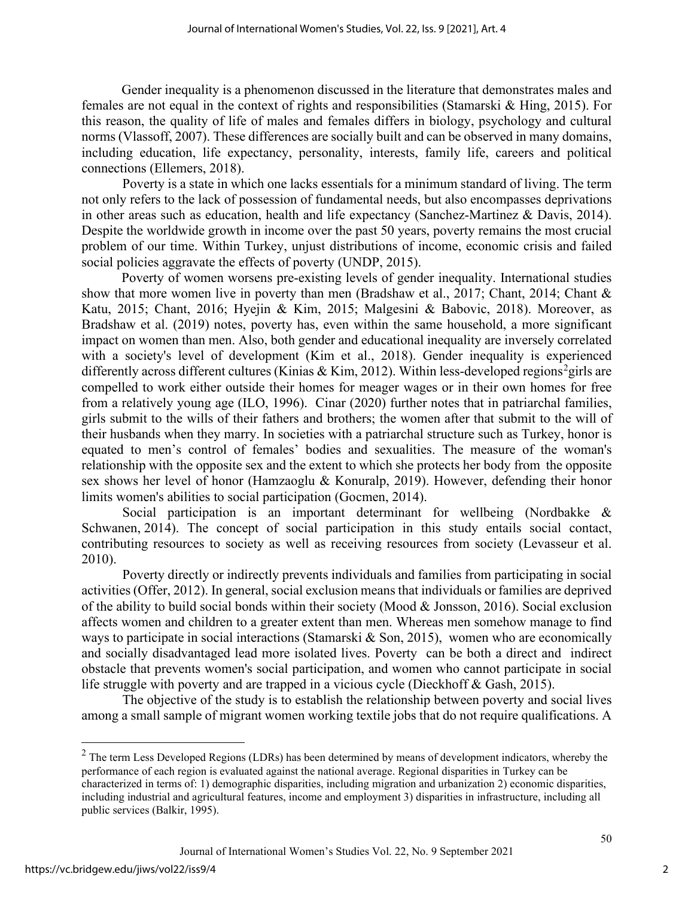Gender inequality is a phenomenon discussed in the literature that demonstrates males and females are not equal in the context of rights and responsibilities (Stamarski & Hing, 2015). For this reason, the quality of life of males and females differs in biology, psychology and cultural norms (Vlassoff, 2007). These differences are socially built and can be observed in many domains, including education, life expectancy, personality, interests, family life, careers and political connections (Ellemers, 2018).

Poverty is a state in which one lacks essentials for a minimum standard of living. The term not only refers to the lack of possession of fundamental needs, but also encompasses deprivations in other areas such as education, health and life expectancy (Sanchez-Martinez & Davis, 2014). Despite the worldwide growth in income over the past 50 years, poverty remains the most crucial problem of our time. Within Turkey, unjust distributions of income, economic crisis and failed social policies aggravate the effects of poverty (UNDP, 2015).

Poverty of women worsens pre-existing levels of gender inequality. International studies show that more women live in poverty than men (Bradshaw et al., 2017; Chant, 2014; Chant & Katu, 2015; Chant, 2016; Hyejin & Kim, 2015; Malgesini & Babovic, 2018). Moreover, as Bradshaw et al. (2019) notes, poverty has, even within the same household, a more significant impact on women than men. Also, both gender and educational inequality are inversely correlated with a society's level of development (Kim et al., 2018). Gender inequality is experienced differently across different cultures (Kinias & Kim, [2](#page-2-0)012). Within less-developed regions<sup>2</sup>girls are compelled to work either outside their homes for meager wages or in their own homes for free from a relatively young age (ILO, 1996). Cinar (2020) further notes that in patriarchal families, girls submit to the wills of their fathers and brothers; the women after that submit to the will of their husbands when they marry. In societies with a patriarchal structure such as Turkey, honor is equated to men's control of females' bodies and sexualities. The measure of the woman's relationship with the opposite sex and the extent to which she protects her body from the opposite sex shows her level of honor (Hamzaoglu & Konuralp, 2019). However, defending their honor limits women's abilities to social participation (Gocmen, 2014).

Social participation is an important determinant for wellbeing (Nordbakke & Schwanen, [2014\)](https://link.springer.com/article/10.1007/s12126-017-9296-4#ref-CR26). The concept of social participation in this study entails social contact, contributing resources to society as well as receiving resources from society (Levasseur et al. 2010).

Poverty directly or indirectly prevents individuals and families from participating in social activities (Offer, 2012). In general, social exclusion means that individuals or families are deprived of the ability to build social bonds within their society (Mood & Jonsson, 2016). Social exclusion affects women and children to a greater extent than men. Whereas men somehow manage to find ways to participate in social interactions (Stamarski & Son, 2015), women who are economically and socially disadvantaged lead more isolated lives. Poverty can be both a direct and indirect obstacle that prevents women's social participation, and women who cannot participate in social life struggle with poverty and are trapped in a vicious cycle (Dieckhoff & Gash, 2015).

The objective of the study is to establish the relationship between poverty and social lives among a small sample of migrant women working textile jobs that do not require qualifications. A

<span id="page-2-0"></span> $2$  The term Less Developed Regions (LDRs) has been determined by means of development indicators, whereby the performance of each region is evaluated against the national average. Regional disparities in Turkey can be characterized in terms of: 1) demographic disparities, including migration and urbanization 2) economic disparities, including industrial and agricultural features, income and employment 3) disparities in infrastructure, including all public services (Balkir, 1995).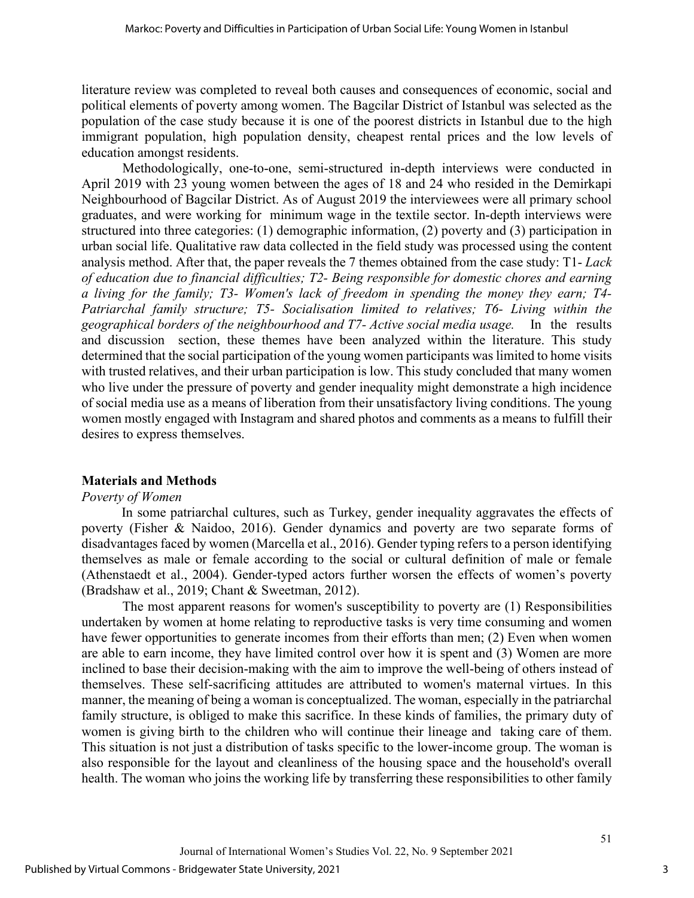literature review was completed to reveal both causes and consequences of economic, social and political elements of poverty among women. The Bagcilar District of Istanbul was selected as the population of the case study because it is one of the poorest districts in Istanbul due to the high immigrant population, high population density, cheapest rental prices and the low levels of education amongst residents.

Methodologically, one-to-one, semi-structured in-depth interviews were conducted in April 2019 with 23 young women between the ages of 18 and 24 who resided in the Demirkapi Neighbourhood of Bagcilar District. As of August 2019 the interviewees were all primary school graduates, and were working for minimum wage in the textile sector. In-depth interviews were structured into three categories: (1) demographic information, (2) poverty and (3) participation in urban social life. Qualitative raw data collected in the field study was processed using the content analysis method. After that, the paper reveals the 7 themes obtained from the case study: T1- *Lack of education due to financial difficulties; T2- Being responsible for domestic chores and earning a living for the family; T3- Women's lack of freedom in spending the money they earn; T4- Patriarchal family structure; T5- Socialisation limited to relatives; T6- Living within the geographical borders of the neighbourhood and T7- Active social media usage.* In the results and discussion section, these themes have been analyzed within the literature. This study determined that the social participation of the young women participants was limited to home visits with trusted relatives, and their urban participation is low. This study concluded that many women who live under the pressure of poverty and gender inequality might demonstrate a high incidence of social media use as a means of liberation from their unsatisfactory living conditions. The young women mostly engaged with Instagram and shared photos and comments as a means to fulfill their desires to express themselves.

#### **Materials and Methods**

#### *Poverty of Women*

In some patriarchal cultures, such as Turkey, gender inequality aggravates the effects of poverty (Fisher & Naidoo, 2016). Gender dynamics and poverty are two separate forms of disadvantages faced by women (Marcella et al., 2016). Gender typing refers to a person identifying themselves as male or female according to the social or cultural definition of male or female (Athenstaedt et al., 2004). Gender-typed actors further worsen the effects of women's poverty (Bradshaw et al., 2019; Chant & Sweetman, 2012).

The most apparent reasons for women's susceptibility to poverty are (1) Responsibilities undertaken by women at home relating to reproductive tasks is very time consuming and women have fewer opportunities to generate incomes from their efforts than men; (2) Even when women are able to earn income, they have limited control over how it is spent and (3) Women are more inclined to base their decision-making with the aim to improve the well-being of others instead of themselves. These self-sacrificing attitudes are attributed to women's maternal virtues. In this manner, the meaning of being a woman is conceptualized. The woman, especially in the patriarchal family structure, is obliged to make this sacrifice. In these kinds of families, the primary duty of women is giving birth to the children who will continue their lineage and taking care of them. This situation is not just a distribution of tasks specific to the lower-income group. The woman is also responsible for the layout and cleanliness of the housing space and the household's overall health. The woman who joins the working life by transferring these responsibilities to other family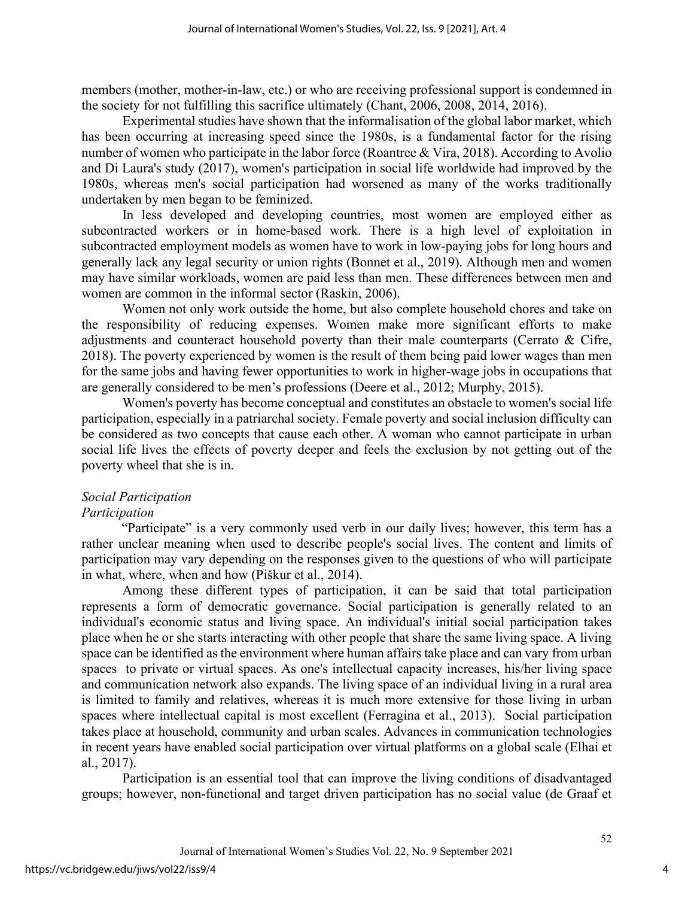members (mother, mother-in-law, etc.) or who are receiving professional support is condemned in the society for not fulfilling this sacrifice ultimately (Chant, 2006, 2008, 2014, 2016).

Experimental studies have shown that the informalisation of the global labor market, which has been occurring at increasing speed since the 1980s, is a fundamental factor for the rising number of women who participate in the labor force (Roantree & Vira, 2018). According to Avolio and Di Laura's study (2017), women's participation in social life worldwide had improved by the 1980s, whereas men's social participation had worsened as many of the works traditionally undertaken by men began to be feminized.

In less developed and developing countries, most women are employed either as subcontracted workers or in home-based work. There is a high level of exploitation in subcontracted employment models as women have to work in low-paying jobs for long hours and generally lack any legal security or union rights (Bonnet et al., 2019). Although men and women may have similar workloads, women are paid less than men. These differences between men and women are common in the informal sector (Raskin, 2006).

Women not only work outside the home, but also complete household chores and take on the responsibility of reducing expenses. Women make more significant efforts to make adjustments and counteract household poverty than their male counterparts (Cerrato & Cifre, 2018). The poverty experienced by women is the result of them being paid lower wages than men for the same jobs and having fewer opportunities to work in higher-wage jobs in occupations that are generally considered to be men's professions (Deere et al., 2012; Murphy, 2015).

Women's poverty has become conceptual and constitutes an obstacle to women's social life participation, especially in a patriarchal society. Female poverty and social inclusion difficulty can be considered as two concepts that cause each other. A woman who cannot participate in urban social life lives the effects of poverty deeper and feels the exclusion by not getting out of the poverty wheel that she is in.

## *Social Participation*

#### *Participation*

"Participate" is a very commonly used verb in our daily lives; however, this term has a rather unclear meaning when used to describe people's social lives. The content and limits of participation may vary depending on the responses given to the questions of who will participate in what, where, when and how (Piškur et al., 2014).

Among these different types of participation, it can be said that total participation represents a form of democratic governance. Social participation is generally related to an individual's economic status and living space. An individual's initial social participation takes place when he or she starts interacting with other people that share the same living space. A living space can be identified as the environment where human affairs take place and can vary from urban spaces to private or virtual spaces. As one's intellectual capacity increases, his/her living space and communication network also expands. The living space of an individual living in a rural area is limited to family and relatives, whereas it is much more extensive for those living in urban spaces where intellectual capital is most excellent (Ferragina et al., 2013). Social participation takes place at household, community and urban scales. Advances in communication technologies in recent years have enabled social participation over virtual platforms on a global scale (Elhai et al., 2017).

Participation is an essential tool that can improve the living conditions of disadvantaged groups; however, non-functional and target driven participation has no social value (de Graaf et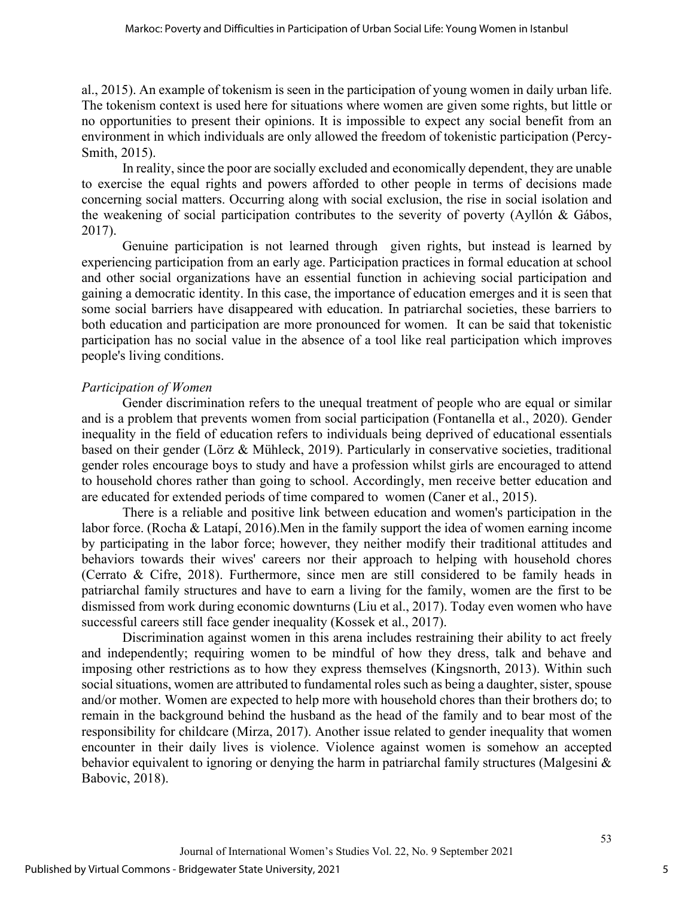al., 2015). An example of tokenism is seen in the participation of young women in daily urban life. The tokenism context is used here for situations where women are given some rights, but little or no opportunities to present their opinions. It is impossible to expect any social benefit from an environment in which individuals are only allowed the freedom of tokenistic participation (Percy-Smith, 2015).

In reality, since the poor are socially excluded and economically dependent, they are unable to exercise the equal rights and powers afforded to other people in terms of decisions made concerning social matters. Occurring along with social exclusion, the rise in social isolation and the weakening of social participation contributes to the severity of poverty (Ayllón & Gábos, 2017).

Genuine participation is not learned through given rights, but instead is learned by experiencing participation from an early age. Participation practices in formal education at school and other social organizations have an essential function in achieving social participation and gaining a democratic identity. In this case, the importance of education emerges and it is seen that some social barriers have disappeared with education. In patriarchal societies, these barriers to both education and participation are more pronounced for women. It can be said that tokenistic participation has no social value in the absence of a tool like real participation which improves people's living conditions.

#### *Participation of Women*

Gender discrimination refers to the unequal treatment of people who are equal or similar and is a problem that prevents women from social participation (Fontanella et al., 2020). Gender inequality in the field of education refers to individuals being deprived of educational essentials based on their gender (Lörz & Mühleck, 2019). Particularly in conservative societies, traditional gender roles encourage boys to study and have a profession whilst girls are encouraged to attend to household chores rather than going to school. Accordingly, men receive better education and are educated for extended periods of time compared to women (Caner et al., 2015).

There is a reliable and positive link between education and women's participation in the labor force. (Rocha & Latapí, 2016).Men in the family support the idea of women earning income by participating in the labor force; however, they neither modify their traditional attitudes and behaviors towards their wives' careers nor their approach to helping with household chores (Cerrato & Cifre, 2018). Furthermore, since men are still considered to be family heads in patriarchal family structures and have to earn a living for the family, women are the first to be dismissed from work during economic downturns (Liu et al., 2017). Today even women who have successful careers still face gender inequality (Kossek et al., 2017).

Discrimination against women in this arena includes restraining their ability to act freely and independently; requiring women to be mindful of how they dress, talk and behave and imposing other restrictions as to how they express themselves (Kingsnorth, 2013). Within such social situations, women are attributed to fundamental roles such as being a daughter, sister, spouse and/or mother. Women are expected to help more with household chores than their brothers do; to remain in the background behind the husband as the head of the family and to bear most of the responsibility for childcare (Mirza, 2017). Another issue related to gender inequality that women encounter in their daily lives is violence. Violence against women is somehow an accepted behavior equivalent to ignoring or denying the harm in patriarchal family structures (Malgesini & Babovic, 2018).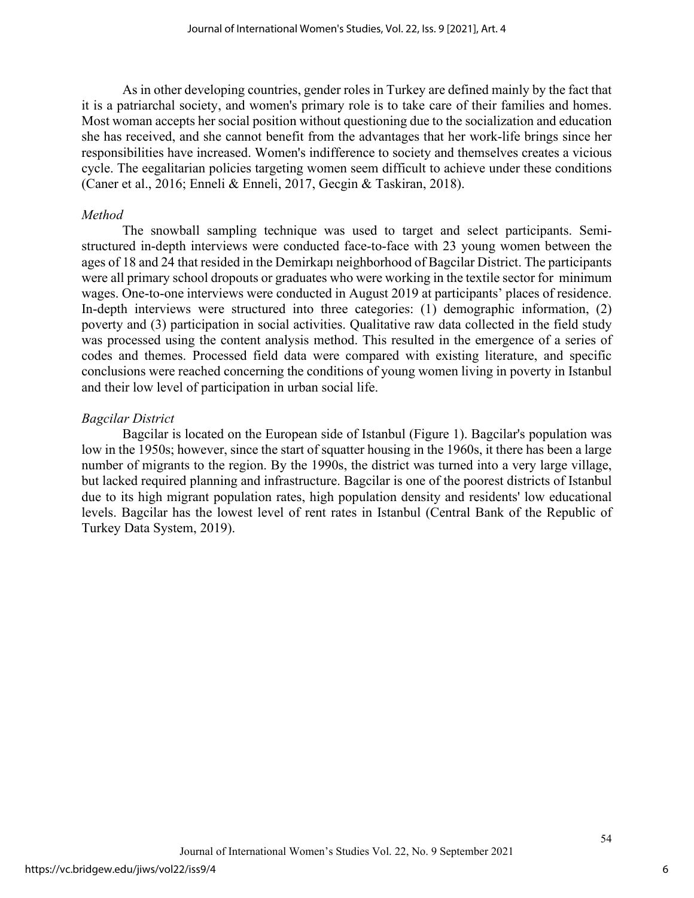As in other developing countries, gender roles in Turkey are defined mainly by the fact that it is a patriarchal society, and women's primary role is to take care of their families and homes. Most woman accepts her social position without questioning due to the socialization and education she has received, and she cannot benefit from the advantages that her work-life brings since her responsibilities have increased. Women's indifference to society and themselves creates a vicious cycle. The eegalitarian policies targeting women seem difficult to achieve under these conditions (Caner et al., 2016; Enneli & Enneli, 2017, Gecgin & Taskiran, 2018).

#### *Method*

The snowball sampling technique was used to target and select participants. Semistructured in-depth interviews were conducted face-to-face with 23 young women between the ages of 18 and 24 that resided in the Demirkapı neighborhood of Bagcilar District. The participants were all primary school dropouts or graduates who were working in the textile sector for minimum wages. One-to-one interviews were conducted in August 2019 at participants' places of residence. In-depth interviews were structured into three categories: (1) demographic information, (2) poverty and (3) participation in social activities. Qualitative raw data collected in the field study was processed using the content analysis method. This resulted in the emergence of a series of codes and themes. Processed field data were compared with existing literature, and specific conclusions were reached concerning the conditions of young women living in poverty in Istanbul and their low level of participation in urban social life.

#### *Bagcilar District*

Bagcilar is located on the European side of Istanbul (Figure 1). Bagcilar's population was low in the 1950s; however, since the start of squatter housing in the 1960s, it there has been a large number of migrants to the region. By the 1990s, the district was turned into a very large village, but lacked required planning and infrastructure. Bagcilar is one of the poorest districts of Istanbul due to its high migrant population rates, high population density and residents' low educational levels. Bagcilar has the lowest level of rent rates in Istanbul (Central Bank of the Republic of Turkey Data System, 2019).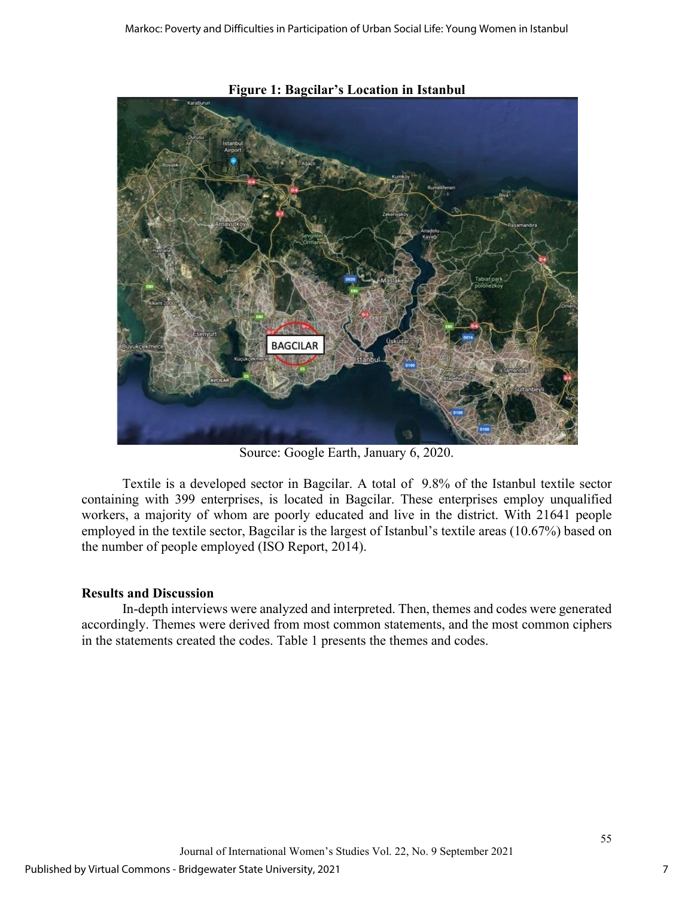

**Figure 1: Bagcilar's Location in Istanbul** 

Source: Google Earth, January 6, 2020.

Textile is a developed sector in Bagcilar. A total of 9.8% of the Istanbul textile sector containing with 399 enterprises, is located in Bagcilar. These enterprises employ unqualified workers, a majority of whom are poorly educated and live in the district. With 21641 people employed in the textile sector, Bagcilar is the largest of Istanbul's textile areas (10.67%) based on the number of people employed (ISO Report, 2014).

#### **Results and Discussion**

In-depth interviews were analyzed and interpreted. Then, themes and codes were generated accordingly. Themes were derived from most common statements, and the most common ciphers in the statements created the codes. Table 1 presents the themes and codes.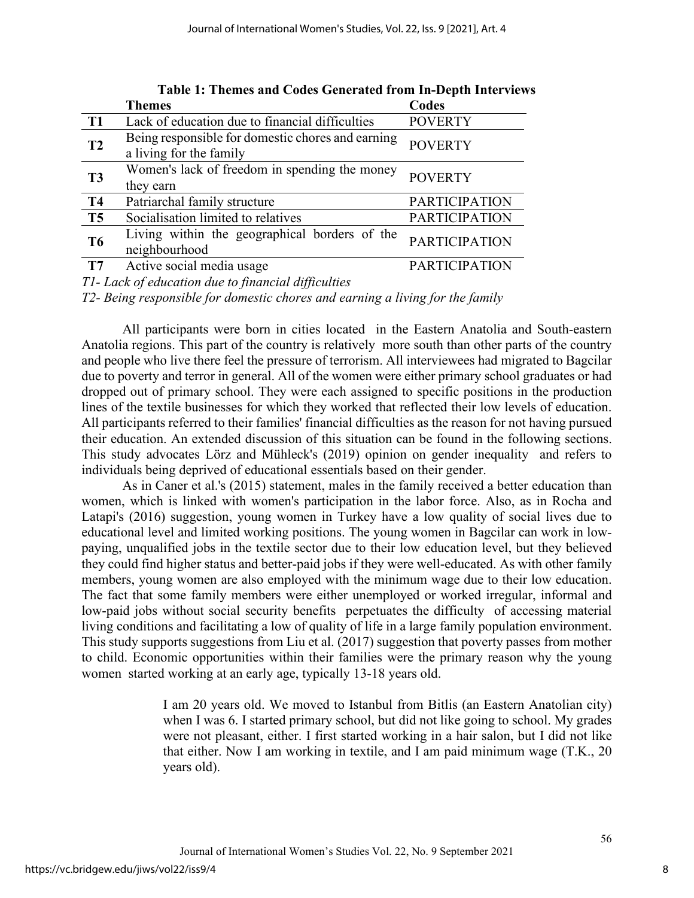|                               | <b>Themes</b>                                                                  | Codes                |
|-------------------------------|--------------------------------------------------------------------------------|----------------------|
| T <sub>1</sub>                | Lack of education due to financial difficulties                                | <b>POVERTY</b>       |
| T <sub>2</sub>                | Being responsible for domestic chores and earning<br>a living for the family   | <b>POVERTY</b>       |
| T <sub>3</sub>                | Women's lack of freedom in spending the money<br>they earn                     | <b>POVERTY</b>       |
| <b>T4</b>                     | Patriarchal family structure                                                   | <b>PARTICIPATION</b> |
| T <sub>5</sub>                | Socialisation limited to relatives                                             | <b>PARTICIPATION</b> |
| T <sub>6</sub>                | Living within the geographical borders of the<br>neighbourhood                 | <b>PARTICIPATION</b> |
| T7                            | Active social media usage                                                      | <b>PARTICIPATION</b> |
| $\overline{r}$ $\overline{r}$ | $\begin{array}{ccccccccccc}\n1 & 0 & 1 & \ldots & 1 & \ldots & 0\n\end{array}$ |                      |

**Table 1: Themes and Codes Generated from In-Depth Interviews**

*T1- Lack of education due to financial difficulties* 

*T2- Being responsible for domestic chores and earning a living for the family* 

All participants were born in cities located in the Eastern Anatolia and South-eastern Anatolia regions. This part of the country is relatively more south than other parts of the country and people who live there feel the pressure of terrorism. All interviewees had migrated to Bagcilar due to poverty and terror in general. All of the women were either primary school graduates or had dropped out of primary school. They were each assigned to specific positions in the production lines of the textile businesses for which they worked that reflected their low levels of education. All participants referred to their families' financial difficulties as the reason for not having pursued their education. An extended discussion of this situation can be found in the following sections. This study advocates Lörz and Mühleck's (2019) opinion on gender inequality and refers to individuals being deprived of educational essentials based on their gender.

As in Caner et al.'s (2015) statement, males in the family received a better education than women, which is linked with women's participation in the labor force. Also, as in Rocha and Latapi's (2016) suggestion, young women in Turkey have a low quality of social lives due to educational level and limited working positions. The young women in Bagcilar can work in lowpaying, unqualified jobs in the textile sector due to their low education level, but they believed they could find higher status and better-paid jobs if they were well-educated. As with other family members, young women are also employed with the minimum wage due to their low education. The fact that some family members were either unemployed or worked irregular, informal and low-paid jobs without social security benefits perpetuates the difficulty of accessing material living conditions and facilitating a low of quality of life in a large family population environment. This study supports suggestions from Liu et al. (2017) suggestion that poverty passes from mother to child. Economic opportunities within their families were the primary reason why the young women started working at an early age, typically 13-18 years old.

> I am 20 years old. We moved to Istanbul from Bitlis (an Eastern Anatolian city) when I was 6. I started primary school, but did not like going to school. My grades were not pleasant, either. I first started working in a hair salon, but I did not like that either. Now I am working in textile, and I am paid minimum wage (T.K., 20 years old).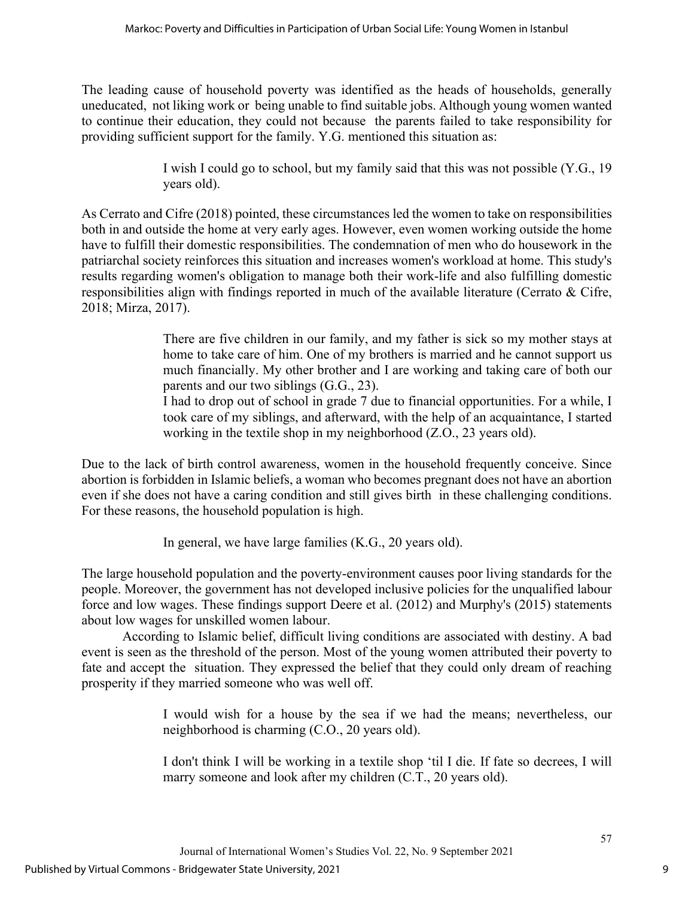The leading cause of household poverty was identified as the heads of households, generally uneducated, not liking work or being unable to find suitable jobs. Although young women wanted to continue their education, they could not because the parents failed to take responsibility for providing sufficient support for the family. Y.G. mentioned this situation as:

> I wish I could go to school, but my family said that this was not possible (Y.G., 19 years old).

As Cerrato and Cifre (2018) pointed, these circumstances led the women to take on responsibilities both in and outside the home at very early ages. However, even women working outside the home have to fulfill their domestic responsibilities. The condemnation of men who do housework in the patriarchal society reinforces this situation and increases women's workload at home. This study's results regarding women's obligation to manage both their work-life and also fulfilling domestic responsibilities align with findings reported in much of the available literature (Cerrato & Cifre, 2018; Mirza, 2017).

> There are five children in our family, and my father is sick so my mother stays at home to take care of him. One of my brothers is married and he cannot support us much financially. My other brother and I are working and taking care of both our parents and our two siblings (G.G., 23).

> I had to drop out of school in grade 7 due to financial opportunities. For a while, I took care of my siblings, and afterward, with the help of an acquaintance, I started working in the textile shop in my neighborhood (Z.O., 23 years old).

Due to the lack of birth control awareness, women in the household frequently conceive. Since abortion is forbidden in Islamic beliefs, a woman who becomes pregnant does not have an abortion even if she does not have a caring condition and still gives birth in these challenging conditions. For these reasons, the household population is high.

In general, we have large families (K.G., 20 years old).

The large household population and the poverty-environment causes poor living standards for the people. Moreover, the government has not developed inclusive policies for the unqualified labour force and low wages. These findings support Deere et al. (2012) and Murphy's (2015) statements about low wages for unskilled women labour.

According to Islamic belief, difficult living conditions are associated with destiny. A bad event is seen as the threshold of the person. Most of the young women attributed their poverty to fate and accept the situation. They expressed the belief that they could only dream of reaching prosperity if they married someone who was well off.

> I would wish for a house by the sea if we had the means; nevertheless, our neighborhood is charming (C.O., 20 years old).

> I don't think I will be working in a textile shop 'til I die. If fate so decrees, I will marry someone and look after my children (C.T., 20 years old).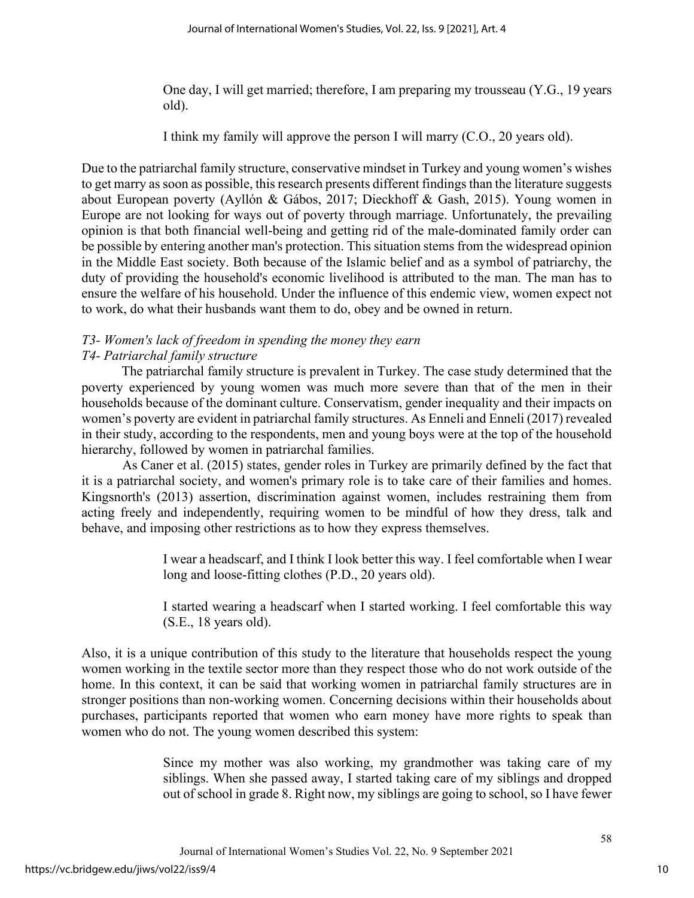One day, I will get married; therefore, I am preparing my trousseau (Y.G., 19 years old).

I think my family will approve the person I will marry (C.O., 20 years old).

Due to the patriarchal family structure, conservative mindset in Turkey and young women's wishes to get marry as soon as possible, this research presents different findings than the literature suggests about European poverty (Ayllón & Gábos, 2017; Dieckhoff & Gash, 2015). Young women in Europe are not looking for ways out of poverty through marriage. Unfortunately, the prevailing opinion is that both financial well-being and getting rid of the male-dominated family order can be possible by entering another man's protection. This situation stems from the widespread opinion in the Middle East society. Both because of the Islamic belief and as a symbol of patriarchy, the duty of providing the household's economic livelihood is attributed to the man. The man has to ensure the welfare of his household. Under the influence of this endemic view, women expect not to work, do what their husbands want them to do, obey and be owned in return.

#### *T3- Women's lack of freedom in spending the money they earn T4- Patriarchal family structure*

The patriarchal family structure is prevalent in Turkey. The case study determined that the poverty experienced by young women was much more severe than that of the men in their households because of the dominant culture. Conservatism, gender inequality and their impacts on women's poverty are evident in patriarchal family structures. As Enneli and Enneli (2017) revealed in their study, according to the respondents, men and young boys were at the top of the household hierarchy, followed by women in patriarchal families.

As Caner et al. (2015) states, gender roles in Turkey are primarily defined by the fact that it is a patriarchal society, and women's primary role is to take care of their families and homes. Kingsnorth's (2013) assertion, discrimination against women, includes restraining them from acting freely and independently, requiring women to be mindful of how they dress, talk and behave, and imposing other restrictions as to how they express themselves.

> I wear a headscarf, and I think I look better this way. I feel comfortable when I wear long and loose-fitting clothes (P.D., 20 years old).

> I started wearing a headscarf when I started working. I feel comfortable this way (S.E., 18 years old).

Also, it is a unique contribution of this study to the literature that households respect the young women working in the textile sector more than they respect those who do not work outside of the home. In this context, it can be said that working women in patriarchal family structures are in stronger positions than non-working women. Concerning decisions within their households about purchases, participants reported that women who earn money have more rights to speak than women who do not. The young women described this system:

> Since my mother was also working, my grandmother was taking care of my siblings. When she passed away, I started taking care of my siblings and dropped out of school in grade 8. Right now, my siblings are going to school, so I have fewer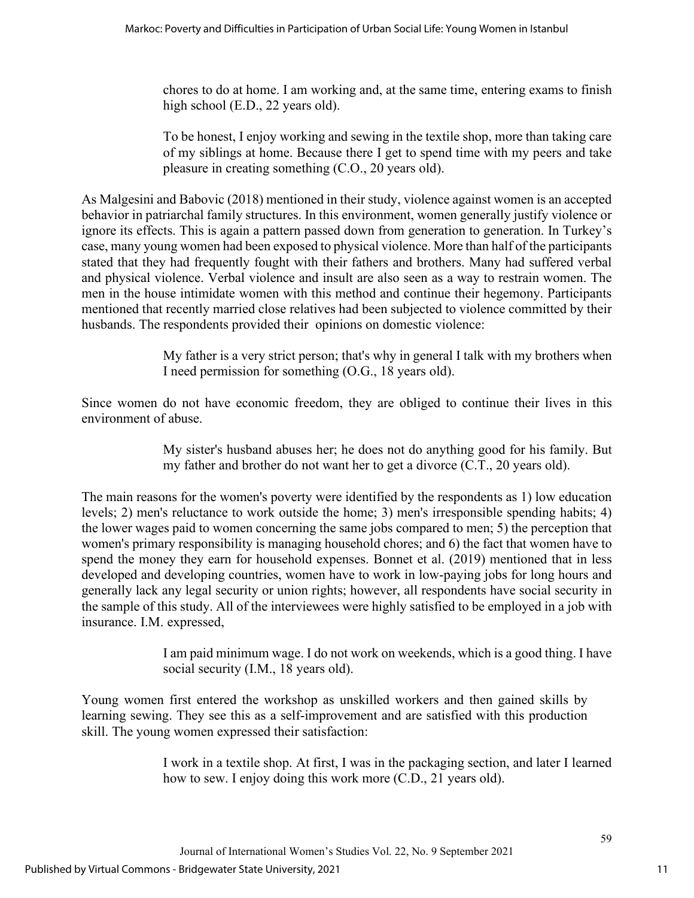chores to do at home. I am working and, at the same time, entering exams to finish high school (E.D., 22 years old).

To be honest, I enjoy working and sewing in the textile shop, more than taking care of my siblings at home. Because there I get to spend time with my peers and take pleasure in creating something (C.O., 20 years old).

As Malgesini and Babovic (2018) mentioned in their study, violence against women is an accepted behavior in patriarchal family structures. In this environment, women generally justify violence or ignore its effects. This is again a pattern passed down from generation to generation. In Turkey's case, many young women had been exposed to physical violence. More than half of the participants stated that they had frequently fought with their fathers and brothers. Many had suffered verbal and physical violence. Verbal violence and insult are also seen as a way to restrain women. The men in the house intimidate women with this method and continue their hegemony. Participants mentioned that recently married close relatives had been subjected to violence committed by their husbands. The respondents provided their opinions on domestic violence:

> My father is a very strict person; that's why in general I talk with my brothers when I need permission for something (O.G., 18 years old).

Since women do not have economic freedom, they are obliged to continue their lives in this environment of abuse.

> My sister's husband abuses her; he does not do anything good for his family. But my father and brother do not want her to get a divorce (C.T., 20 years old).

The main reasons for the women's poverty were identified by the respondents as 1) low education levels; 2) men's reluctance to work outside the home; 3) men's irresponsible spending habits; 4) the lower wages paid to women concerning the same jobs compared to men; 5) the perception that women's primary responsibility is managing household chores; and 6) the fact that women have to spend the money they earn for household expenses. Bonnet et al. (2019) mentioned that in less developed and developing countries, women have to work in low-paying jobs for long hours and generally lack any legal security or union rights; however, all respondents have social security in the sample of this study. All of the interviewees were highly satisfied to be employed in a job with insurance. I.M. expressed,

> I am paid minimum wage. I do not work on weekends, which is a good thing. I have social security (I.M., 18 years old).

Young women first entered the workshop as unskilled workers and then gained skills by learning sewing. They see this as a self-improvement and are satisfied with this production skill. The young women expressed their satisfaction:

> I work in a textile shop. At first, I was in the packaging section, and later I learned how to sew. I enjoy doing this work more (C.D., 21 years old).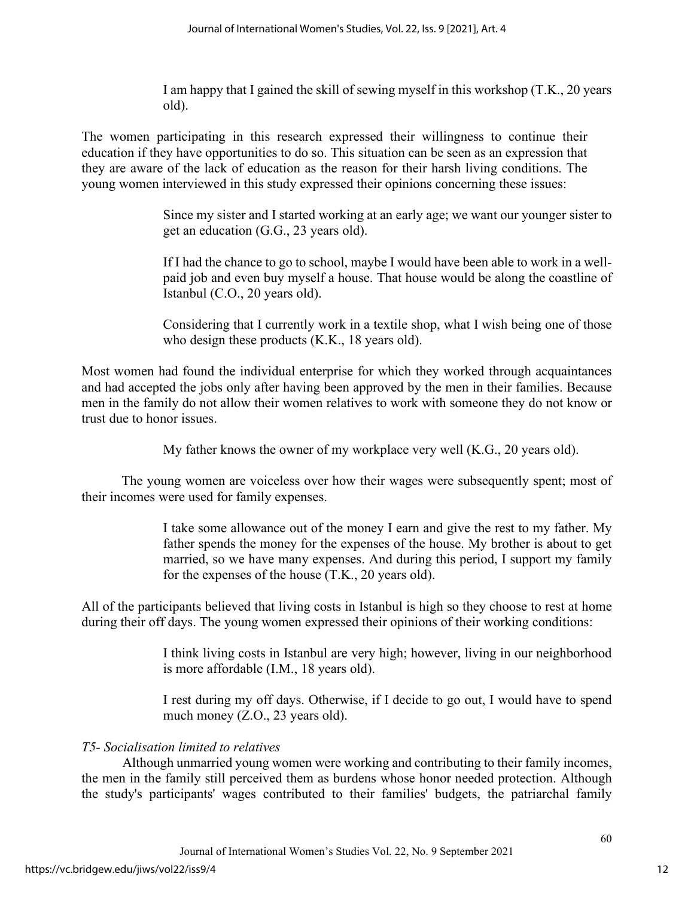I am happy that I gained the skill of sewing myself in this workshop (T.K., 20 years old).

The women participating in this research expressed their willingness to continue their education if they have opportunities to do so. This situation can be seen as an expression that they are aware of the lack of education as the reason for their harsh living conditions. The young women interviewed in this study expressed their opinions concerning these issues:

> Since my sister and I started working at an early age; we want our younger sister to get an education (G.G., 23 years old).

> If I had the chance to go to school, maybe I would have been able to work in a wellpaid job and even buy myself a house. That house would be along the coastline of Istanbul (C.O., 20 years old).

> Considering that I currently work in a textile shop, what I wish being one of those who design these products (K.K., 18 years old).

Most women had found the individual enterprise for which they worked through acquaintances and had accepted the jobs only after having been approved by the men in their families. Because men in the family do not allow their women relatives to work with someone they do not know or trust due to honor issues.

My father knows the owner of my workplace very well (K.G., 20 years old).

The young women are voiceless over how their wages were subsequently spent; most of their incomes were used for family expenses.

> I take some allowance out of the money I earn and give the rest to my father. My father spends the money for the expenses of the house. My brother is about to get married, so we have many expenses. And during this period, I support my family for the expenses of the house (T.K., 20 years old).

All of the participants believed that living costs in Istanbul is high so they choose to rest at home during their off days. The young women expressed their opinions of their working conditions:

> I think living costs in Istanbul are very high; however, living in our neighborhood is more affordable (I.M., 18 years old).

> I rest during my off days. Otherwise, if I decide to go out, I would have to spend much money (Z.O., 23 years old).

## *T5- Socialisation limited to relatives*

Although unmarried young women were working and contributing to their family incomes, the men in the family still perceived them as burdens whose honor needed protection. Although the study's participants' wages contributed to their families' budgets, the patriarchal family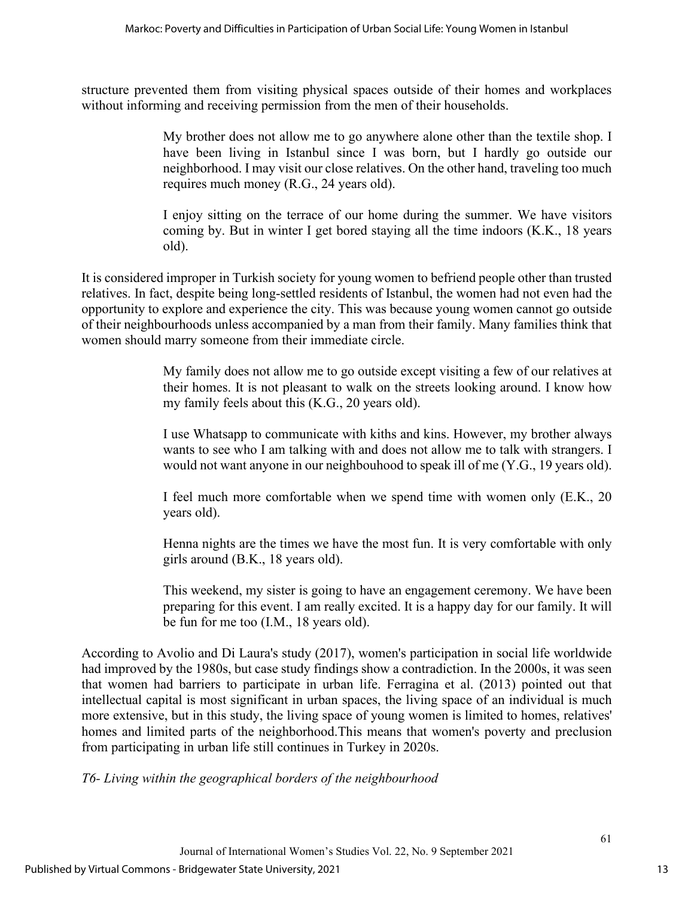structure prevented them from visiting physical spaces outside of their homes and workplaces without informing and receiving permission from the men of their households.

> My brother does not allow me to go anywhere alone other than the textile shop. I have been living in Istanbul since I was born, but I hardly go outside our neighborhood. I may visit our close relatives. On the other hand, traveling too much requires much money (R.G., 24 years old).

> I enjoy sitting on the terrace of our home during the summer. We have visitors coming by. But in winter I get bored staying all the time indoors (K.K., 18 years old).

It is considered improper in Turkish society for young women to befriend people other than trusted relatives. In fact, despite being long-settled residents of Istanbul, the women had not even had the opportunity to explore and experience the city. This was because young women cannot go outside of their neighbourhoods unless accompanied by a man from their family. Many families think that women should marry someone from their immediate circle.

> My family does not allow me to go outside except visiting a few of our relatives at their homes. It is not pleasant to walk on the streets looking around. I know how my family feels about this (K.G., 20 years old).

> I use Whatsapp to communicate with kiths and kins. However, my brother always wants to see who I am talking with and does not allow me to talk with strangers. I would not want anyone in our neighbouhood to speak ill of me (Y.G., 19 years old).

> I feel much more comfortable when we spend time with women only (E.K., 20 years old).

> Henna nights are the times we have the most fun. It is very comfortable with only girls around (B.K., 18 years old).

> This weekend, my sister is going to have an engagement ceremony. We have been preparing for this event. I am really excited. It is a happy day for our family. It will be fun for me too (I.M., 18 years old).

According to Avolio and Di Laura's study (2017), women's participation in social life worldwide had improved by the 1980s, but case study findings show a contradiction. In the 2000s, it was seen that women had barriers to participate in urban life. Ferragina et al. (2013) pointed out that intellectual capital is most significant in urban spaces, the living space of an individual is much more extensive, but in this study, the living space of young women is limited to homes, relatives' homes and limited parts of the neighborhood.This means that women's poverty and preclusion from participating in urban life still continues in Turkey in 2020s.

*T6- Living within the geographical borders of the neighbourhood*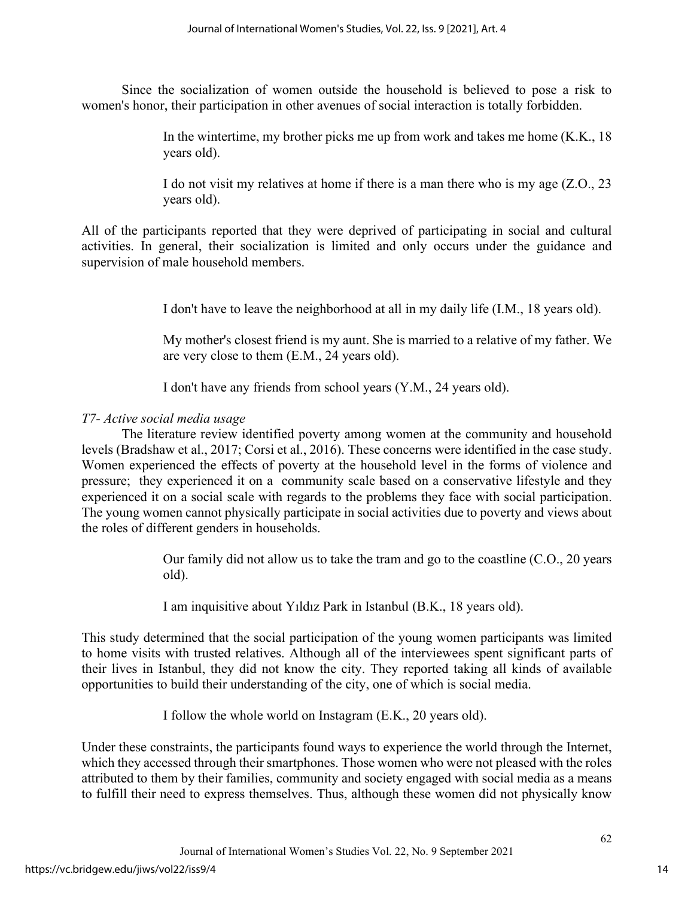Since the socialization of women outside the household is believed to pose a risk to women's honor, their participation in other avenues of social interaction is totally forbidden.

> In the wintertime, my brother picks me up from work and takes me home (K.K., 18 years old).

> I do not visit my relatives at home if there is a man there who is my age (Z.O., 23 years old).

All of the participants reported that they were deprived of participating in social and cultural activities. In general, their socialization is limited and only occurs under the guidance and supervision of male household members.

I don't have to leave the neighborhood at all in my daily life (I.M., 18 years old).

My mother's closest friend is my aunt. She is married to a relative of my father. We are very close to them (E.M., 24 years old).

I don't have any friends from school years (Y.M., 24 years old).

## *T7- Active social media usage*

The literature review identified poverty among women at the community and household levels (Bradshaw et al., 2017; Corsi et al., 2016). These concerns were identified in the case study. Women experienced the effects of poverty at the household level in the forms of violence and pressure; they experienced it on a community scale based on a conservative lifestyle and they experienced it on a social scale with regards to the problems they face with social participation. The young women cannot physically participate in social activities due to poverty and views about the roles of different genders in households.

> Our family did not allow us to take the tram and go to the coastline (C.O., 20 years old).

I am inquisitive about Yıldız Park in Istanbul (B.K., 18 years old).

This study determined that the social participation of the young women participants was limited to home visits with trusted relatives. Although all of the interviewees spent significant parts of their lives in Istanbul, they did not know the city. They reported taking all kinds of available opportunities to build their understanding of the city, one of which is social media.

I follow the whole world on Instagram (E.K., 20 years old).

Under these constraints, the participants found ways to experience the world through the Internet, which they accessed through their smartphones. Those women who were not pleased with the roles attributed to them by their families, community and society engaged with social media as a means to fulfill their need to express themselves. Thus, although these women did not physically know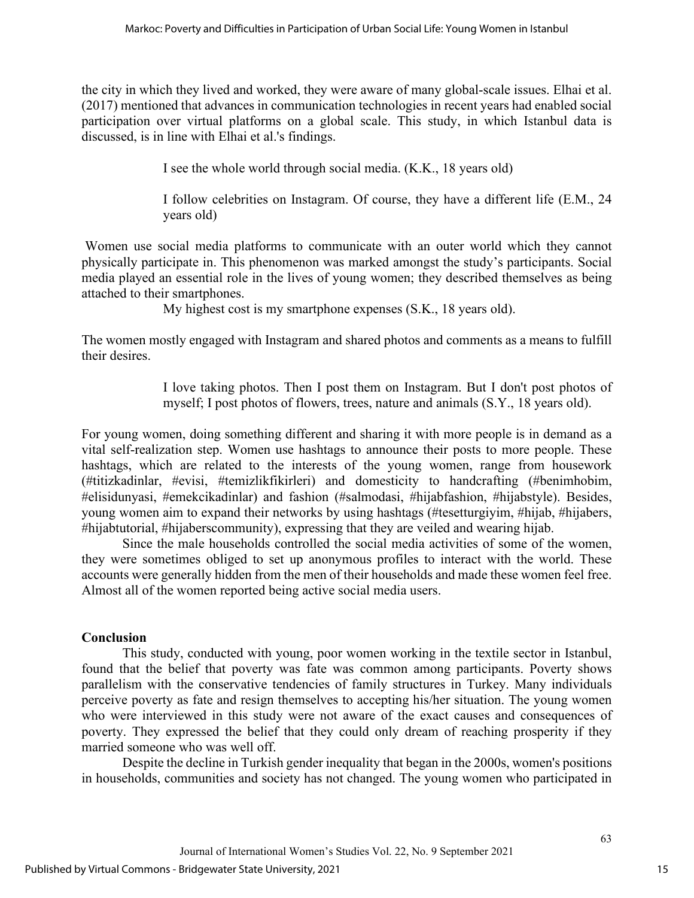the city in which they lived and worked, they were aware of many global-scale issues. Elhai et al. (2017) mentioned that advances in communication technologies in recent years had enabled social participation over virtual platforms on a global scale. This study, in which Istanbul data is discussed, is in line with Elhai et al.'s findings.

I see the whole world through social media. (K.K., 18 years old)

I follow celebrities on Instagram. Of course, they have a different life (E.M., 24 years old)

Women use social media platforms to communicate with an outer world which they cannot physically participate in. This phenomenon was marked amongst the study's participants. Social media played an essential role in the lives of young women; they described themselves as being attached to their smartphones.

My highest cost is my smartphone expenses (S.K., 18 years old).

The women mostly engaged with Instagram and shared photos and comments as a means to fulfill their desires.

> I love taking photos. Then I post them on Instagram. But I don't post photos of myself; I post photos of flowers, trees, nature and animals (S.Y., 18 years old).

For young women, doing something different and sharing it with more people is in demand as a vital self-realization step. Women use hashtags to announce their posts to more people. These hashtags, which are related to the interests of the young women, range from housework (#titizkadinlar, #evisi, #temizlikfikirleri) and domesticity to handcrafting (#benimhobim, #elisidunyasi, #emekcikadinlar) and fashion (#salmodasi, #hijabfashion, #hijabstyle). Besides, young women aim to expand their networks by using hashtags (#tesetturgiyim, #hijab, #hijabers, #hijabtutorial, #hijaberscommunity), expressing that they are veiled and wearing hijab.

Since the male households controlled the social media activities of some of the women, they were sometimes obliged to set up anonymous profiles to interact with the world. These accounts were generally hidden from the men of their households and made these women feel free. Almost all of the women reported being active social media users.

## **Conclusion**

This study, conducted with young, poor women working in the textile sector in Istanbul, found that the belief that poverty was fate was common among participants. Poverty shows parallelism with the conservative tendencies of family structures in Turkey. Many individuals perceive poverty as fate and resign themselves to accepting his/her situation. The young women who were interviewed in this study were not aware of the exact causes and consequences of poverty. They expressed the belief that they could only dream of reaching prosperity if they married someone who was well off.

Despite the decline in Turkish gender inequality that began in the 2000s, women's positions in households, communities and society has not changed. The young women who participated in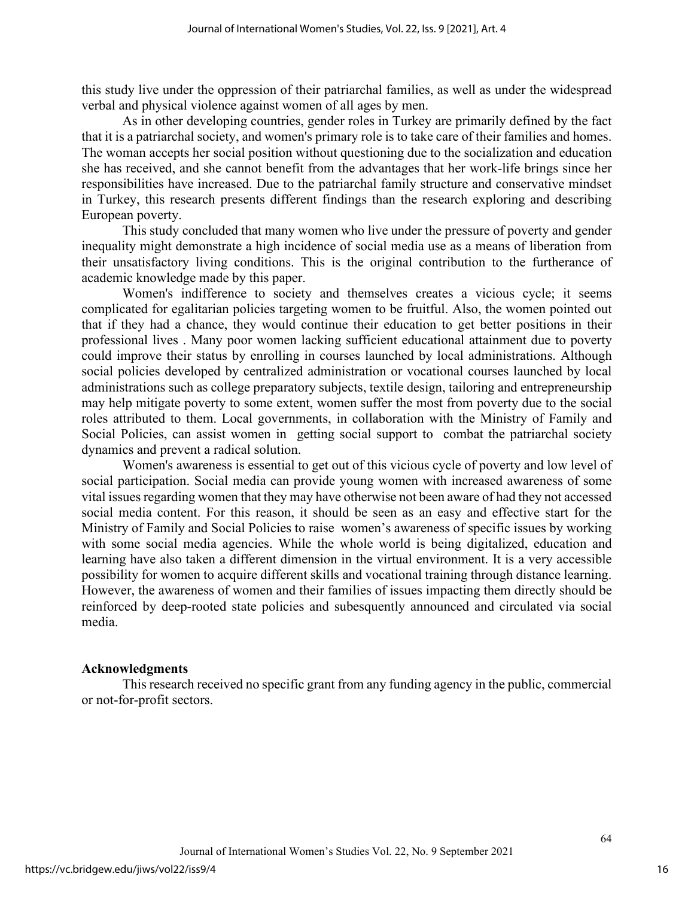this study live under the oppression of their patriarchal families, as well as under the widespread verbal and physical violence against women of all ages by men.

As in other developing countries, gender roles in Turkey are primarily defined by the fact that it is a patriarchal society, and women's primary role is to take care of their families and homes. The woman accepts her social position without questioning due to the socialization and education she has received, and she cannot benefit from the advantages that her work-life brings since her responsibilities have increased. Due to the patriarchal family structure and conservative mindset in Turkey, this research presents different findings than the research exploring and describing European poverty.

This study concluded that many women who live under the pressure of poverty and gender inequality might demonstrate a high incidence of social media use as a means of liberation from their unsatisfactory living conditions. This is the original contribution to the furtherance of academic knowledge made by this paper.

Women's indifference to society and themselves creates a vicious cycle; it seems complicated for egalitarian policies targeting women to be fruitful. Also, the women pointed out that if they had a chance, they would continue their education to get better positions in their professional lives . Many poor women lacking sufficient educational attainment due to poverty could improve their status by enrolling in courses launched by local administrations. Although social policies developed by centralized administration or vocational courses launched by local administrations such as college preparatory subjects, textile design, tailoring and entrepreneurship may help mitigate poverty to some extent, women suffer the most from poverty due to the social roles attributed to them. Local governments, in collaboration with the Ministry of Family and Social Policies, can assist women in getting social support to combat the patriarchal society dynamics and prevent a radical solution.

Women's awareness is essential to get out of this vicious cycle of poverty and low level of social participation. Social media can provide young women with increased awareness of some vital issues regarding women that they may have otherwise not been aware of had they not accessed social media content. For this reason, it should be seen as an easy and effective start for the Ministry of Family and Social Policies to raise women's awareness of specific issues by working with some social media agencies. While the whole world is being digitalized, education and learning have also taken a different dimension in the virtual environment. It is a very accessible possibility for women to acquire different skills and vocational training through distance learning. However, the awareness of women and their families of issues impacting them directly should be reinforced by deep-rooted state policies and subesquently announced and circulated via social media.

#### **Acknowledgments**

This research received no specific grant from any funding agency in the public, commercial or not-for-profit sectors.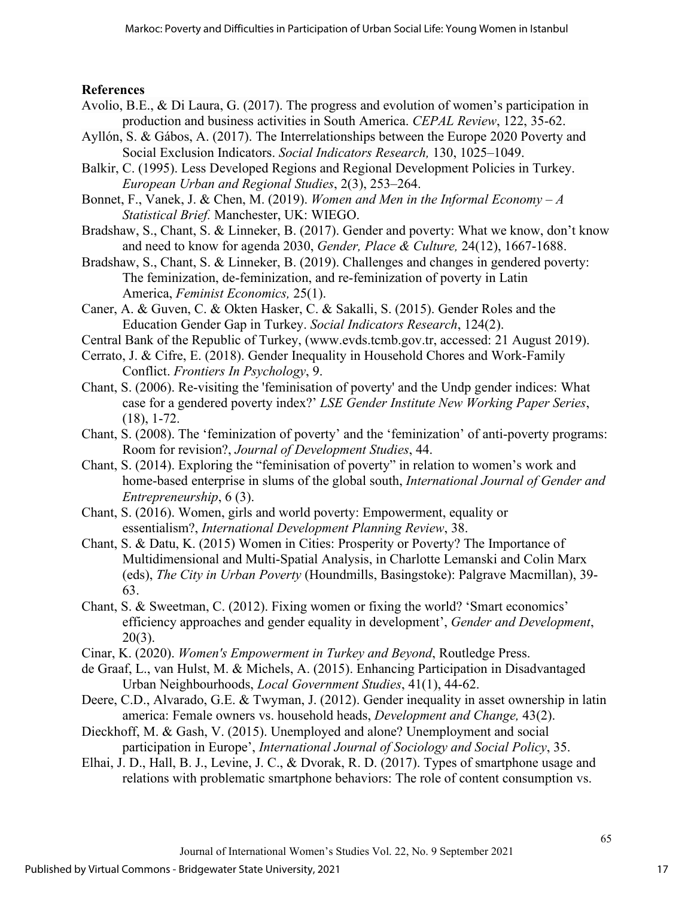## **References**

- Avolio, B.E., & Di Laura, G. (2017). The progress and evolution of women's participation in production and business activities in South America. *CEPAL Review*, 122, 35-62.
- Ayllón, S. & Gábos, A. (2017). The Interrelationships between the Europe 2020 Poverty and Social Exclusion Indicators. *Social Indicators Research,* 130, 1025–1049.
- Balkir, C. (1995). Less Developed Regions and Regional Development Policies in Turkey. *European Urban and Regional Studies*, 2(3), 253–264.
- Bonnet, F., Vanek, J. & Chen, M. (2019). *Women and Men in the Informal Economy A Statistical Brief.* Manchester, UK: WIEGO.
- Bradshaw, S., Chant, S. & Linneker, B. (2017). [Gender and poverty: What we know, don't know](https://www.tandfonline.com/doi/abs/10.1080/0966369X.2017.1395821)  [and need to know for agenda 2030,](https://www.tandfonline.com/doi/abs/10.1080/0966369X.2017.1395821) *Gender, Place & Culture,* 24(12), 1667-1688.
- Bradshaw, S., Chant, S. & Linneker, B. (2019). [Challenges and changes in gendered poverty:](https://www.tandfonline.com/doi/abs/10.1080/13545701.2018.1529417)  [The feminization, de-feminization, and re-feminization of poverty in Latin](https://www.tandfonline.com/doi/abs/10.1080/13545701.2018.1529417)  [America,](https://www.tandfonline.com/doi/abs/10.1080/13545701.2018.1529417) *Feminist Economics,* 25(1).
- Caner, A. & Guven, C. & Okten Hasker, C. & Sakalli, S. (2015). Gender Roles and the Education Gender Gap in Turkey. *Social Indicators Research*, 124(2).
- Central Bank of the Republic of Turkey, [\(www.evds.tcmb.gov.tr,](http://www.evds.tcmb.gov.tr/) accessed: 21 August 2019).
- Cerrato, J. & Cifre, E. (2018). Gender Inequality in Household Chores and Work-Family Conflict. *Frontiers In Psychology*, 9.
- Chant, S. (2006). Re-visiting the 'feminisation of poverty' and the Undp gender indices: What case for a gendered poverty index?' *LSE Gender Institute New Working Paper Series*, (18), 1-72.
- Chant, S. (2008). The 'feminization of poverty' and the 'feminization' of anti-poverty programs: Room for revision?, *Journal of Development Studies*, 44.
- Chant, S. (2014). Exploring the "feminisation of poverty" in relation to women's work and home-based enterprise in slums of the global south, *International Journal of Gender and Entrepreneurship*, 6 (3).
- Chant, S. (2016). Women, girls and world poverty: Empowerment, equality or essentialism?, *International Development Planning Review*, 38.
- Chant, S. & Datu, K. (2015) Women in Cities: Prosperity or Poverty? The Importance of Multidimensional and Multi-Spatial Analysis, in Charlotte Lemanski and Colin Marx (eds), *The City in Urban Poverty* (Houndmills, Basingstoke): Palgrave Macmillan), 39- 63.
- Chant, S. & Sweetman, C. (2012). Fixing women or fixing the world? 'Smart economics' efficiency approaches and gender equality in development', *Gender and Development*, 20(3).
- Cinar, K. (2020). *Women's Empowerment in Turkey and Beyond*, Routledge Press.
- de Graaf, L., van Hulst, M. & Michels, A. (2015). Enhancing Participation in Disadvantaged Urban Neighbourhoods, *Local Government Studies*, 41(1), 44-62.
- Deere, C.D., Alvarado, G.E. & Twyman, J. (2012). Gender inequality in asset ownership in latin america: Female owners vs. household heads, *Development and Change,* 43(2).
- Dieckhoff, M. & Gash, V. (2015). Unemployed and alone? Unemployment and social participation in Europe', *International Journal of Sociology and Social Policy*, 35.
- [Elhai, J. D.,](https://cyberpsychology.eu/about/editorialTeamBioFullProfile/1552) [Hall, B. J.,](https://cyberpsychology.eu/about/editorialTeamBioFullProfile/1553) [Levine, J. C.,](https://cyberpsychology.eu/about/editorialTeamBioFullProfile/1554) & [Dvorak, R. D.](https://cyberpsychology.eu/about/editorialTeamBioFullProfile/1555) (2017). Types of smartphone usage and relations with problematic smartphone behaviors: The role of content consumption vs.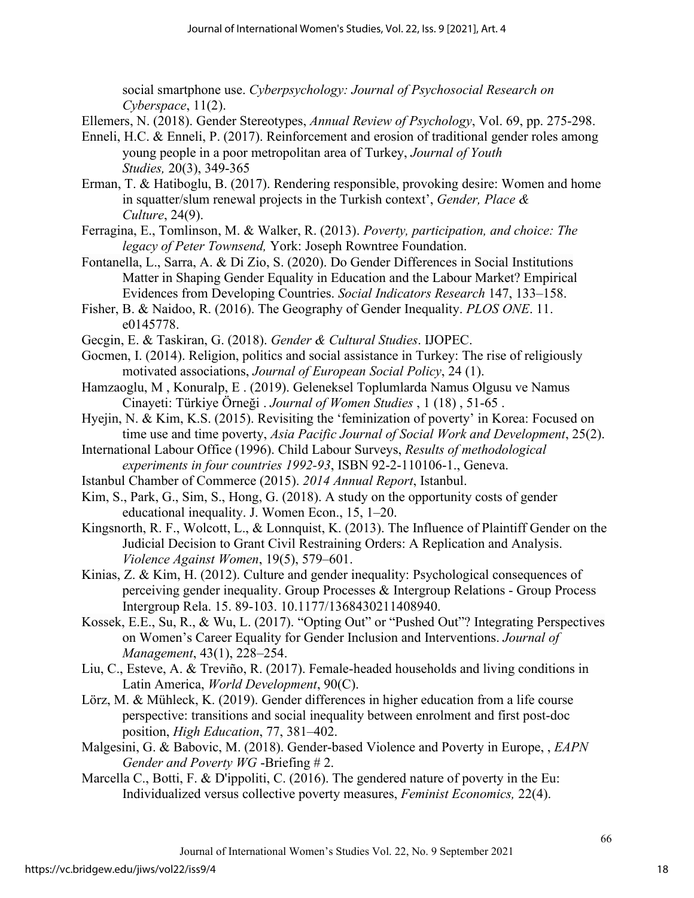social smartphone use. *Cyberpsychology: Journal of Psychosocial Research on Cyberspace*, 11(2).

Ellemers, N. (2018). Gender Stereotypes, *Annual Review of Psychology*, Vol. 69, pp. 275-298.

- Enneli, H.C. & Enneli, P. (2017). Reinforcement and erosion of traditional gender roles among young people in a poor metropolitan area of Turkey, *Journal of Youth Studies,* 20(3), 349-365
- Erman, T. & Hatiboglu, B. (2017). [Rendering responsible, provoking desire: Women and home](https://www.tandfonline.com/doi/abs/10.1080/0966369X.2017.1382448)  [in squatter/slum renewal projects in the Turkish context'](https://www.tandfonline.com/doi/abs/10.1080/0966369X.2017.1382448), *Gender, Place & Culture*, 24(9).
- Ferragina, E., Tomlinson, M. & Walker, R. (2013). *Poverty, participation, and choice: The legacy of Peter Townsend,* York: Joseph Rowntree Foundation.
- Fontanella, L., Sarra, A. & Di Zio, S. (2020). Do Gender Differences in Social Institutions Matter in Shaping Gender Equality in Education and the Labour Market? Empirical Evidences from Developing Countries. *Social Indicators Research* 147, 133–158.
- Fisher, B. & Naidoo, R. (2016). The Geography of Gender Inequality. *PLOS ONE*. 11. e0145778.
- Gecgin, E. & Taskiran, G. (2018). *Gender & Cultural Studies*. IJOPEC.
- Gocmen, I. (2014). Religion, politics and social assistance in Turkey: The rise of religiously motivated associations, *Journal of European Social Policy*, 24 (1).
- Hamzaoglu, M , Konuralp, E . (2019). Geleneksel Toplumlarda Namus Olgusu ve Namus Cinayeti: Türkiye Örneği . *Journal of Women Studies* , 1 (18) , 51-65 .
- Hyejin, N. & Kim, K.S. (2015). Revisiting the 'feminization of poverty' in Korea: Focused on time use and time poverty, *Asia Pacific Journal of Social Work and Development*, 25(2).
- International Labour Office (1996). Child Labour Surveys, *Results of methodological experiments in four countries 1992-93*, ISBN 92-2-110106-1., Geneva.
- Istanbul Chamber of Commerce (2015). *2014 Annual Report*, Istanbul.
- Kim, S., Park, G., Sim, S., Hong, G. (2018). A study on the opportunity costs of gender educational inequality. J. Women Econ., 15, 1–20.
- Kingsnorth, R. F., Wolcott, L., & Lonnquist, K. (2013). The Influence of Plaintiff Gender on the Judicial Decision to Grant Civil Restraining Orders: A Replication and Analysis. *Violence Against Women*, 19(5), 579–601.
- Kinias, Z. & Kim, H. (2012). Culture and gender inequality: Psychological consequences of perceiving gender inequality. Group Processes & Intergroup Relations - Group Process Intergroup Rela. 15. 89-103. 10.1177/1368430211408940.
- Kossek, E.E., Su, R., & Wu, L. (2017). "Opting Out" or "Pushed Out"? Integrating Perspectives on Women's Career Equality for Gender Inclusion and Interventions. *Journal of Management*, 43(1), 228–254.
- Liu, C., Esteve, A. & Treviño, R. (2017). Female-headed households and living conditions in Latin America, *World Development*, 90(C).
- Lörz, M. & Mühleck, K. (2019). Gender differences in higher education from a life course perspective: transitions and social inequality between enrolment and first post-doc position, *High Education*, 77, 381–402.
- Malgesini, G. & Babovic, M. (2018). Gender-based Violence and Poverty in Europe, , *EAPN Gender and Poverty WG* -Briefing # 2.
- Marcella C., Botti, F. & D'ippoliti, C. (2016). The gendered nature of poverty in the Eu: [Individualized versus collective poverty measures,](https://www.tandfonline.com/doi/abs/10.1080/13545701.2016.1146408) *Feminist Economics,* 22(4).